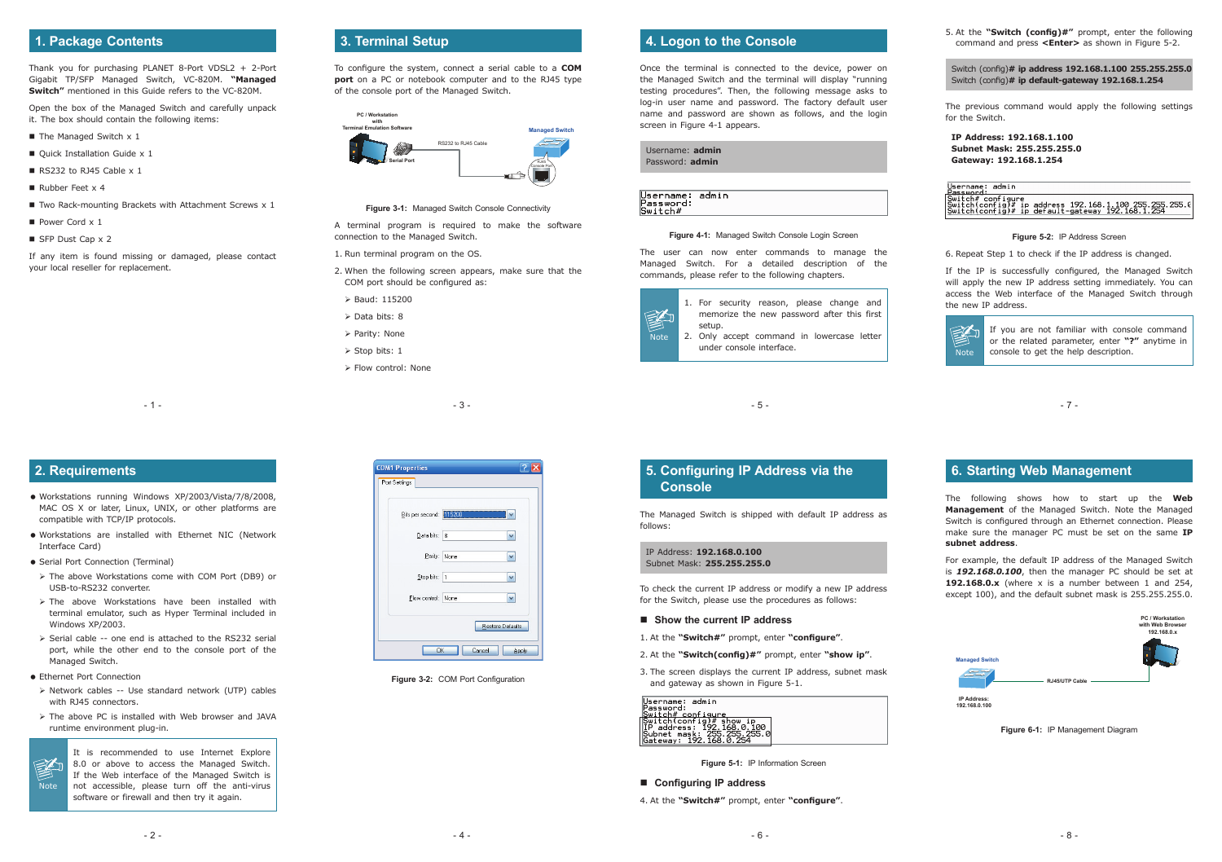- 3 -

| Bits per second: 115200 |      |  |
|-------------------------|------|--|
| Data bits: 8            |      |  |
| Parity:                 | None |  |
| Stop bits: 1            |      |  |
| Flow control: None      |      |  |

**Figure 3-2: COM Port Configuration** 

| ۰.<br>I<br>I<br>×<br>۰. |  |
|-------------------------|--|
|-------------------------|--|

- 7 -

### **1. Package Contents**

Thank you for purchasing PLANET 8-Port VDSL2 + 2-Port Gigabit TP/SFP Managed Switch, VC-820M. **"Managed Switch"** mentioned in this Guide refers to the VC-820M.

Open the box of the Managed Switch and carefully unpack it. The box should contain the following items:

- $\blacksquare$  The Managed Switch x 1
- Quick Installation Guide x 1
- RS232 to RJ45 Cable  $\times$  1
- Rubber Feet x 4
- $\blacksquare$  Two Rack-mounting Brackets with Attachment Screws  $\times$  1
- Power Cord  $\times$  1
- $\blacksquare$  SFP Dust Cap x 2

- 1. Run terminal program on the OS.
- 2. When the following screen appears, make sure that the COM port should be configured as:
- Baud: 115200
- $\triangleright$  Data bits: 8
- > Parity: None
- $\triangleright$  Stop bits: 1
- > Flow control: None

If any item is found missing or damaged, please contact your local reseller for replacement.

## **3. Terminal Setup**

To configure the system, connect a serial cable to a **COM port** on a PC or notebook computer and to the RJ45 type of the console port of the Managed Switch.



**Figure 3-1:** Managed Switch Console Connectivity

A terminal program is required to make the software connection to the Managed Switch.

Once the terminal is connected to the device, power on the Managed Switch and the terminal will display "running testing procedures". Then, the following message asks to log-in user name and password. The factory default user name and password are shown as follows, and the login screen in Figure 4-1 appears.

5. At the **"Switch (config)#"** prompt, enter the following command and press **<Enter>** as shown in Figure 5-2.

Switch (config)**# ip address 192.168.1.100 255.255.255.0** Switch (config)**# ip default-gateway 192.168.1.254**

- Workstations are installed with Ethernet NIC (Network Interface Card)
- Serial Port Connection (Terminal)
- The above Workstations come with COM Port (DB9) or USB-to-RS232 converter.
- > The above Workstations have been installed with terminal emulator, such as Hyper Terminal included in Windows XP/2003.
- $\triangleright$  Serial cable -- one end is attached to the RS232 serial port, while the other end to the console port of the Managed Switch.
- **Ethernet Port Connection**

**Note** 

图

The previous command would apply the following settings for the Switch.

**IP Address: 192.168.1.100 Subnet Mask: 255.255.255.0 Gateway: 192.168.1.254**

Username: admin **Password: Temple:**<br>|Switch#configure<br>|Switch(config)# ip address 192.168.1.100.255.255.255.0<br>|Switch(config)# ip default-gateway 192.168.1.254

**Figure 5-2:** IP Address Screen

6. Repeat Step 1 to check if the IP address is changed.

- > Network cables -- Use standard network (UTP) cables with RJ45 connectors.
- The above PC is installed with Web browser and JAVA runtime environment plug-in.

If the IP is successfully configured, the Managed Switch will apply the new IP address setting immediately. You can access the Web interface of the Managed Switch through the new IP address.



If you are not familiar with console command or the related parameter, enter **"?"** anytime in console to get the help description.

### **4. Logon to the Console**

| Username: admin<br>Password: admin |  |
|------------------------------------|--|
|                                    |  |

| Username: admin<br>Password: |  |
|------------------------------|--|
| Switch#                      |  |

#### **Figure 4-1:** Managed Switch Console Login Screen

The user can now enter commands to manage the Managed Switch. For a detailed description of the commands, please refer to the following chapters.



### **2. Requirements**

 Workstations running Windows XP/2003/Vista/7/8/2008, MAC OS X or later, Linux, UNIX, or other platforms are compatible with TCP/IP protocols.

 $-1 -$ 

It is recommended to use Internet Explore 8.0 or above to access the Managed Switch. If the Web interface of the Managed Switch is not accessible, please turn off the anti-virus software or firewall and then try it again.

### **5. Configuring IP Address via the Console**

The Managed Switch is shipped with default IP address as follows:

IP Address: **192.168.0.100** Subnet Mask: **255.255.255.0**

To check the current IP address or modify a new IP address for the Switch, please use the procedures as follows:

#### ■ Show the current **IP** address

1. At the **"Switch#"** prompt, enter **"configure"**.

- 2. At the **"Switch(config)#"** prompt, enter **"show ip"**.
- 3. The screen displays the current IP address, subnet mask and gateway as shown in Figure 5-1.



**Figure 5-1:** IP Information Screen

#### **Configuring IP address**

4. At the **"Switch#"** prompt, enter **"configure"**.

### **6. Starting Web Management**

The following shows how to start up the **Web Management** of the Managed Switch. Note the Managed Switch is configured through an Ethernet connection. Please make sure the manager PC must be set on the same **IP subnet address**.

For example, the default IP address of the Managed Switch is *192.168.0.100*, then the manager PC should be set at **192.168.0.x** (where x is a number between 1 and 254, except 100), and the default subnet mask is 255.255.255.0.



**Figure 6-1:** IP Management Diagram